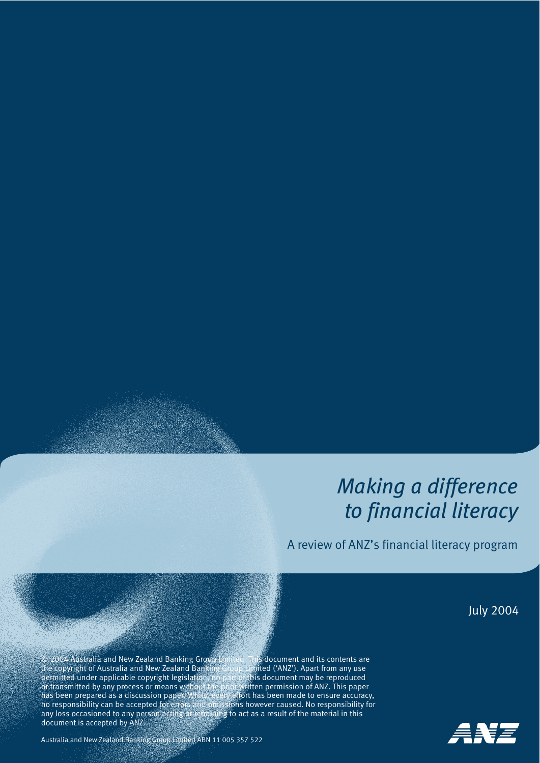# *Making a difference to financial literacy*

A review of ANZ's financial literacy program

July 2004

© 2004 Australia and New Zealand Banking Group Limited This document and its contents are the copyright of Australia and New Zealand Banking Group Limited ('ANZ'). Apart from any use<br>permitted under applicable copyright legislation, no part of this document may be reproduced permitted under applicable copyright legislation, no part of the reproduced may be reproduced in the reproduced may be reproduced in the reproduced may be reproduced in the reproduced may be reproduced in the reproduced ma or transmitted by any process or means without the prior written permission of ANZ. This paper has been prepared as a discussion paper. Whilst every effort has been made to ensure accuracy, no responsibility can be accepted for errors and omissions however caused. No responsibility for any loss occasioned to any person acting or refraining to act as a result of the material in this document is accepted by ANZ.



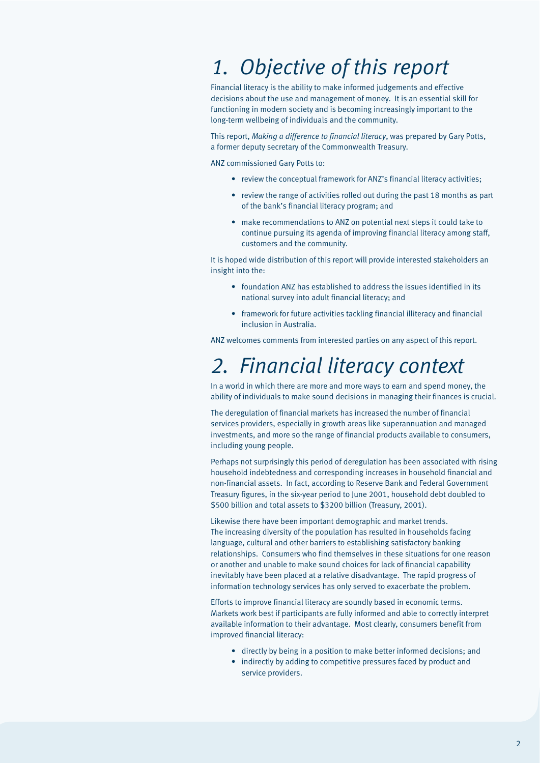## *1. Objective of this report*

Financial literacy is the ability to make informed judgements and effective decisions about the use and management of money. It is an essential skill for functioning in modern society and is becoming increasingly important to the long-term wellbeing of individuals and the community.

This report, *Making a difference to financial literacy*, was prepared by Gary Potts, a former deputy secretary of the Commonwealth Treasury.

ANZ commissioned Gary Potts to:

- review the conceptual framework for ANZ's financial literacy activities;
- review the range of activities rolled out during the past 18 months as part of the bank's financial literacy program; and
- make recommendations to ANZ on potential next steps it could take to continue pursuing its agenda of improving financial literacy among staff, customers and the community.

It is hoped wide distribution of this report will provide interested stakeholders an insight into the:

- foundation ANZ has established to address the issues identified in its national survey into adult financial literacy; and
- framework for future activities tackling financial illiteracy and financial inclusion in Australia.

ANZ welcomes comments from interested parties on any aspect of this report.

### *2. Financial literacy context*

In a world in which there are more and more ways to earn and spend money, the ability of individuals to make sound decisions in managing their finances is crucial.

The deregulation of financial markets has increased the number of financial services providers, especially in growth areas like superannuation and managed investments, and more so the range of financial products available to consumers, including young people.

Perhaps not surprisingly this period of deregulation has been associated with rising household indebtedness and corresponding increases in household financial and non-financial assets. In fact, according to Reserve Bank and Federal Government Treasury figures, in the six-year period to June 2001, household debt doubled to \$500 billion and total assets to \$3200 billion (Treasury, 2001).

Likewise there have been important demographic and market trends. The increasing diversity of the population has resulted in households facing language, cultural and other barriers to establishing satisfactory banking relationships. Consumers who find themselves in these situations for one reason or another and unable to make sound choices for lack of financial capability inevitably have been placed at a relative disadvantage. The rapid progress of information technology services has only served to exacerbate the problem.

Efforts to improve financial literacy are soundly based in economic terms. Markets work best if participants are fully informed and able to correctly interpret available information to their advantage. Most clearly, consumers benefit from improved financial literacy:

- directly by being in a position to make better informed decisions; and
- indirectly by adding to competitive pressures faced by product and service providers.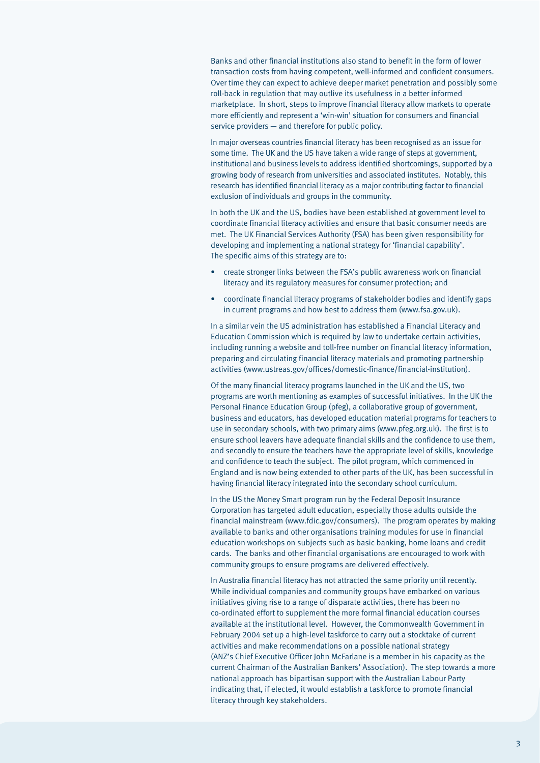Banks and other financial institutions also stand to benefit in the form of lower transaction costs from having competent, well-informed and confident consumers. Over time they can expect to achieve deeper market penetration and possibly some roll-back in regulation that may outlive its usefulness in a better informed marketplace. In short, steps to improve financial literacy allow markets to operate more efficiently and represent a 'win-win' situation for consumers and financial service providers — and therefore for public policy.

In major overseas countries financial literacy has been recognised as an issue for some time. The UK and the US have taken a wide range of steps at government, institutional and business levels to address identified shortcomings, supported by a growing body of research from universities and associated institutes. Notably, this research has identified financial literacy as a major contributing factor to financial exclusion of individuals and groups in the community.

In both the UK and the US, bodies have been established at government level to coordinate financial literacy activities and ensure that basic consumer needs are met. The UK Financial Services Authority (FSA) has been given responsibility for developing and implementing a national strategy for 'financial capability'. The specific aims of this strategy are to:

- create stronger links between the FSA's public awareness work on financial literacy and its regulatory measures for consumer protection; and
- coordinate financial literacy programs of stakeholder bodies and identify gaps in current programs and how best to address them (www.fsa.gov.uk).

In a similar vein the US administration has established a Financial Literacy and Education Commission which is required by law to undertake certain activities, including running a website and toll-free number on financial literacy information, preparing and circulating financial literacy materials and promoting partnership activities (www.ustreas.gov/offices/domestic-finance/financial-institution).

Of the many financial literacy programs launched in the UK and the US, two programs are worth mentioning as examples of successful initiatives. In the UK the Personal Finance Education Group (pfeg), a collaborative group of government, business and educators, has developed education material programs for teachers to use in secondary schools, with two primary aims (www.pfeg.org.uk). The first is to ensure school leavers have adequate financial skills and the confidence to use them, and secondly to ensure the teachers have the appropriate level of skills, knowledge and confidence to teach the subject. The pilot program, which commenced in England and is now being extended to other parts of the UK, has been successful in having financial literacy integrated into the secondary school curriculum.

In the US the Money Smart program run by the Federal Deposit Insurance Corporation has targeted adult education, especially those adults outside the financial mainstream (www.fdic.gov/consumers). The program operates by making available to banks and other organisations training modules for use in financial education workshops on subjects such as basic banking, home loans and credit cards. The banks and other financial organisations are encouraged to work with community groups to ensure programs are delivered effectively.

In Australia financial literacy has not attracted the same priority until recently. While individual companies and community groups have embarked on various initiatives giving rise to a range of disparate activities, there has been no co-ordinated effort to supplement the more formal financial education courses available at the institutional level. However, the Commonwealth Government in February 2004 set up a high-level taskforce to carry out a stocktake of current activities and make recommendations on a possible national strategy (ANZ's Chief Executive Officer John McFarlane is a member in his capacity as the current Chairman of the Australian Bankers' Association). The step towards a more national approach has bipartisan support with the Australian Labour Party indicating that, if elected, it would establish a taskforce to promote financial literacy through key stakeholders.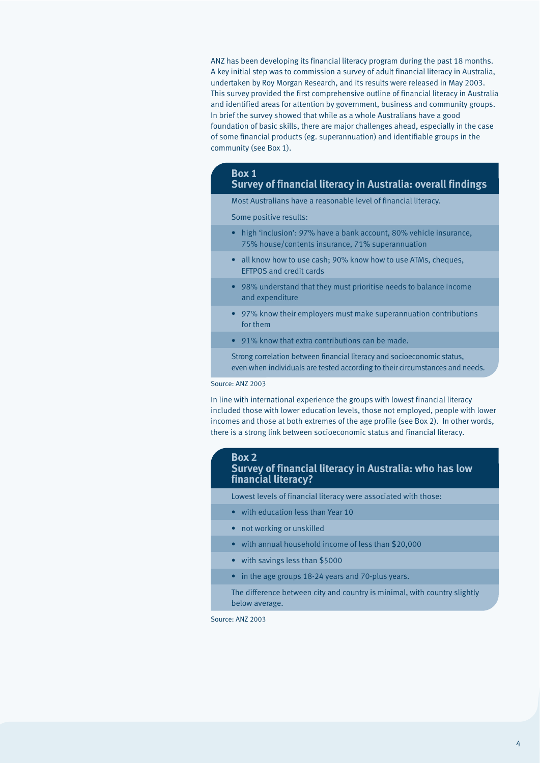ANZ has been developing its financial literacy program during the past 18 months. A key initial step was to commission a survey of adult financial literacy in Australia, undertaken by Roy Morgan Research, and its results were released in May 2003. This survey provided the first comprehensive outline of financial literacy in Australia and identified areas for attention by government, business and community groups. In brief the survey showed that while as a whole Australians have a good foundation of basic skills, there are major challenges ahead, especially in the case of some financial products (eg. superannuation) and identifiable groups in the community (see Box 1).

#### **Box 1 Survey of financial literacy in Australia: overall findings**

Most Australians have a reasonable level of financial literacy.

Some positive results:

- high 'inclusion': 97% have a bank account, 80% vehicle insurance, 75% house/contents insurance, 71% superannuation
- all know how to use cash; 90% know how to use ATMs, cheques, EFTPOS and credit cards
- 98% understand that they must prioritise needs to balance income and expenditure
- 97% know their employers must make superannuation contributions for them
- 91% know that extra contributions can be made.

Strong correlation between financial literacy and socioeconomic status, even when individuals are tested according to their circumstances and needs.

Source: ANZ 2003

In line with international experience the groups with lowest financial literacy included those with lower education levels, those not employed, people with lower incomes and those at both extremes of the age profile (see Box 2). In other words, there is a strong link between socioeconomic status and financial literacy.

#### **Box 2 Survey of financial literacy in Australia: who has low financial literacy?**

Lowest levels of financial literacy were associated with those:

- with education less than Year 10
- not working or unskilled
- with annual household income of less than \$20,000
- with savings less than \$5000
- in the age groups 18-24 years and 70-plus years.

The difference between city and country is minimal, with country slightly below average.

Source: ANZ 2003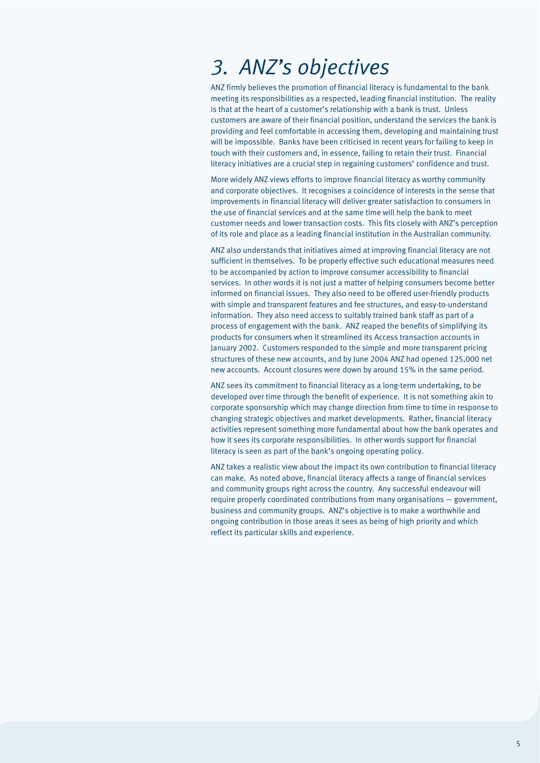### *3. ANZ's objectives*

ANZ firmly believes the promotion of financial literacy is fundamental to the bank meeting its responsibilities as a respected, leading financial institution. The reality is that at the heart of a customer's relationship with a bank is trust. Unless customers are aware of their financial position, understand the services the bank is providing and feel comfortable in accessing them, developing and maintaining trust will be impossible. Banks have been criticised in recent years for failing to keep in touch with their customers and, in essence, failing to retain their trust. Financial literacy initiatives are a crucial step in regaining customers' confidence and trust.

More widely ANZ views efforts to improve financial literacy as worthy community and corporate objectives. It recognises a coincidence of interests in the sense that improvements in financial literacy will deliver greater satisfaction to consumers in the use of financial services and at the same time will help the bank to meet customer needs and lower transaction costs. This fits closely with ANZ's perception of its role and place as a leading financial institution in the Australian community.

ANZ also understands that initiatives aimed at improving financial literacy are not sufficient in themselves. To be properly effective such educational measures need to be accompanied by action to improve consumer accessibility to financial services. In other words it is not just a matter of helping consumers become better informed on financial issues. They also need to be offered user-friendly products with simple and transparent features and fee structures, and easy-to-understand information. They also need access to suitably trained bank staff as part of a process of engagement with the bank. ANZ reaped the benefits of simplifying its products for consumers when it streamlined its Access transaction accounts in January 2002. Customers responded to the simple and more transparent pricing structures of these new accounts, and by June 2004 ANZ had opened 125,000 net new accounts. Account closures were down by around 15% in the same period.

ANZ sees its commitment to financial literacy as a long-term undertaking, to be developed over time through the benefit of experience. It is not something akin to corporate sponsorship which may change direction from time to time in response to changing strategic objectives and market developments. Rather, financial literacy activities represent something more fundamental about how the bank operates and how it sees its corporate responsibilities. In other words support for financial literacy is seen as part of the bank's ongoing operating policy.

ANZ takes a realistic view about the impact its own contribution to financial literacy can make. As noted above, financial literacy affects a range of financial services and community groups right across the country. Any successful endeavour will require properly coordinated contributions from many organisations — government, business and community groups. ANZ's objective is to make a worthwhile and ongoing contribution in those areas it sees as being of high priority and which reflect its particular skills and experience.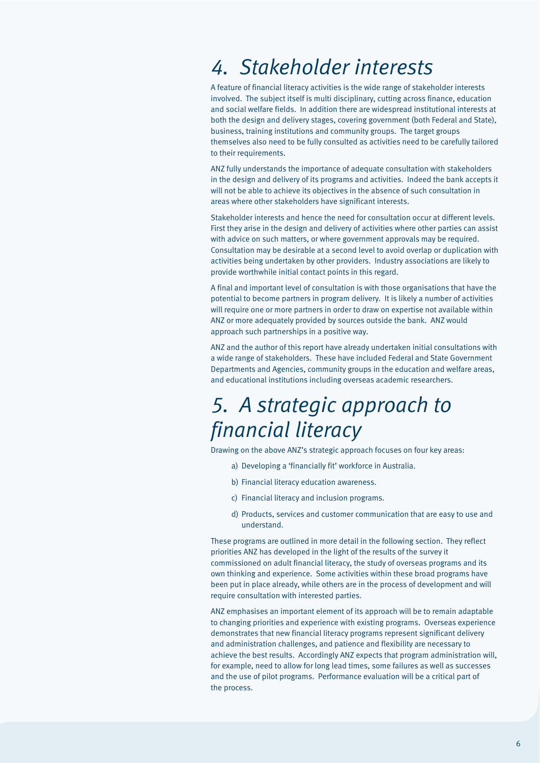### *4. Stakeholder interests*

A feature of financial literacy activities is the wide range of stakeholder interests involved. The subject itself is multi disciplinary, cutting across finance, education and social welfare fields. In addition there are widespread institutional interests at both the design and delivery stages, covering government (both Federal and State), business, training institutions and community groups. The target groups themselves also need to be fully consulted as activities need to be carefully tailored to their requirements.

ANZ fully understands the importance of adequate consultation with stakeholders in the design and delivery of its programs and activities. Indeed the bank accepts it will not be able to achieve its objectives in the absence of such consultation in areas where other stakeholders have significant interests.

Stakeholder interests and hence the need for consultation occur at different levels. First they arise in the design and delivery of activities where other parties can assist with advice on such matters, or where government approvals may be required. Consultation may be desirable at a second level to avoid overlap or duplication with activities being undertaken by other providers. Industry associations are likely to provide worthwhile initial contact points in this regard.

A final and important level of consultation is with those organisations that have the potential to become partners in program delivery. It is likely a number of activities will require one or more partners in order to draw on expertise not available within ANZ or more adequately provided by sources outside the bank. ANZ would approach such partnerships in a positive way.

ANZ and the author of this report have already undertaken initial consultations with a wide range of stakeholders. These have included Federal and State Government Departments and Agencies, community groups in the education and welfare areas, and educational institutions including overseas academic researchers.

### *5. A strategic approach to financial literacy*

Drawing on the above ANZ's strategic approach focuses on four key areas:

- a) Developing a 'financially fit' workforce in Australia.
- b) Financial literacy education awareness.
- c) Financial literacy and inclusion programs.
- d) Products, services and customer communication that are easy to use and understand.

These programs are outlined in more detail in the following section. They reflect priorities ANZ has developed in the light of the results of the survey it commissioned on adult financial literacy, the study of overseas programs and its own thinking and experience. Some activities within these broad programs have been put in place already, while others are in the process of development and will require consultation with interested parties.

ANZ emphasises an important element of its approach will be to remain adaptable to changing priorities and experience with existing programs. Overseas experience demonstrates that new financial literacy programs represent significant delivery and administration challenges, and patience and flexibility are necessary to achieve the best results. Accordingly ANZ expects that program administration will, for example, need to allow for long lead times, some failures as well as successes and the use of pilot programs. Performance evaluation will be a critical part of the process.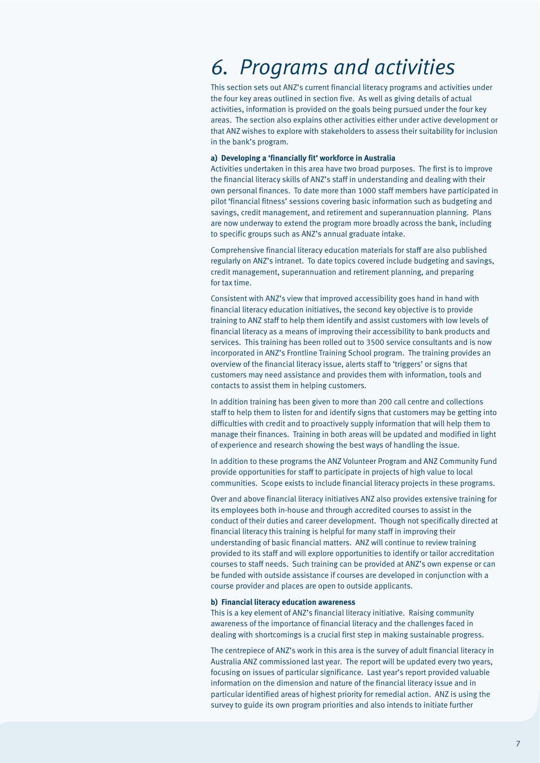## *6. Programs and activities*

This section sets out ANZ's current financial literacy programs and activities under the four key areas outlined in section five. As well as giving details of actual activities, information is provided on the goals being pursued under the four key areas. The section also explains other activities either under active development or that ANZ wishes to explore with stakeholders to assess their suitability for inclusion in the bank's program.

#### **a) Developing a 'financially fit' workforce in Australia**

Activities undertaken in this area have two broad purposes. The first is to improve the financial literacy skills of ANZ's staff in understanding and dealing with their own personal finances. To date more than 1000 staff members have participated in pilot 'financial fitness' sessions covering basic information such as budgeting and savings, credit management, and retirement and superannuation planning. Plans are now underway to extend the program more broadly across the bank, including to specific groups such as ANZ's annual graduate intake.

Comprehensive financial literacy education materials for staff are also published regularly on ANZ's intranet. To date topics covered include budgeting and savings, credit management, superannuation and retirement planning, and preparing for tax time.

Consistent with ANZ's view that improved accessibility goes hand in hand with financial literacy education initiatives, the second key objective is to provide training to ANZ staff to help them identify and assist customers with low levels of financial literacy as a means of improving their accessibility to bank products and services. This training has been rolled out to 3500 service consultants and is now incorporated in ANZ's Frontline Training School program. The training provides an overview of the financial literacy issue, alerts staff to 'triggers' or signs that customers may need assistance and provides them with information, tools and contacts to assist them in helping customers.

In addition training has been given to more than 200 call centre and collections staff to help them to listen for and identify signs that customers may be getting into difficulties with credit and to proactively supply information that will help them to manage their finances. Training in both areas will be updated and modified in light of experience and research showing the best ways of handling the issue.

In addition to these programs the ANZ Volunteer Program and ANZ Community Fund provide opportunities for staff to participate in projects of high value to local communities. Scope exists to include financial literacy projects in these programs.

Over and above financial literacy initiatives ANZ also provides extensive training for its employees both in-house and through accredited courses to assist in the conduct of their duties and career development. Though not specifically directed at financial literacy this training is helpful for many staff in improving their understanding of basic financial matters. ANZ will continue to review training provided to its staff and will explore opportunities to identify or tailor accreditation courses to staff needs. Such training can be provided at ANZ's own expense or can be funded with outside assistance if courses are developed in conjunction with a course provider and places are open to outside applicants.

#### **b) Financial literacy education awareness**

This is a key element of ANZ's financial literacy initiative. Raising community awareness of the importance of financial literacy and the challenges faced in dealing with shortcomings is a crucial first step in making sustainable progress.

The centrepiece of ANZ's work in this area is the survey of adult financial literacy in Australia ANZ commissioned last year. The report will be updated every two years, focusing on issues of particular significance. Last year's report provided valuable information on the dimension and nature of the financial literacy issue and in particular identified areas of highest priority for remedial action. ANZ is using the survey to guide its own program priorities and also intends to initiate further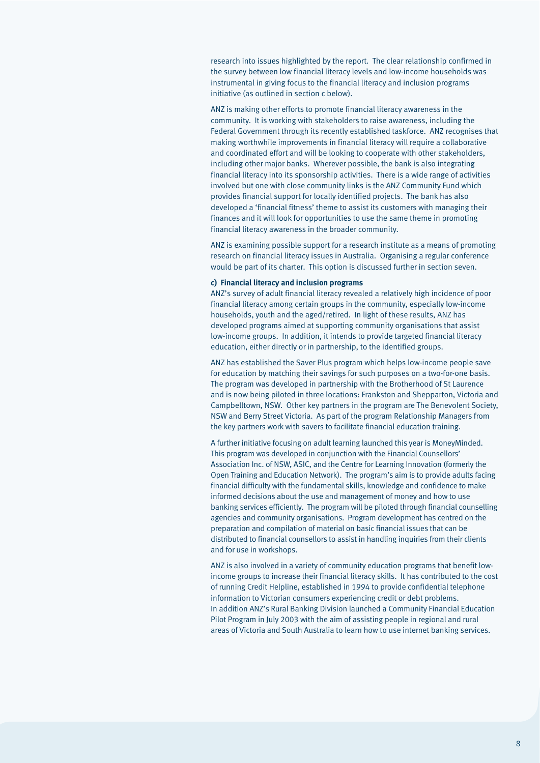research into issues highlighted by the report. The clear relationship confirmed in the survey between low financial literacy levels and low-income households was instrumental in giving focus to the financial literacy and inclusion programs initiative (as outlined in section c below).

ANZ is making other efforts to promote financial literacy awareness in the community. It is working with stakeholders to raise awareness, including the Federal Government through its recently established taskforce. ANZ recognises that making worthwhile improvements in financial literacy will require a collaborative and coordinated effort and will be looking to cooperate with other stakeholders, including other major banks. Wherever possible, the bank is also integrating financial literacy into its sponsorship activities. There is a wide range of activities involved but one with close community links is the ANZ Community Fund which provides financial support for locally identified projects. The bank has also developed a 'financial fitness' theme to assist its customers with managing their finances and it will look for opportunities to use the same theme in promoting financial literacy awareness in the broader community.

ANZ is examining possible support for a research institute as a means of promoting research on financial literacy issues in Australia. Organising a regular conference would be part of its charter. This option is discussed further in section seven.

#### **c) Financial literacy and inclusion programs**

ANZ's survey of adult financial literacy revealed a relatively high incidence of poor financial literacy among certain groups in the community, especially low-income households, youth and the aged/retired. In light of these results, ANZ has developed programs aimed at supporting community organisations that assist low-income groups. In addition, it intends to provide targeted financial literacy education, either directly or in partnership, to the identified groups.

ANZ has established the Saver Plus program which helps low-income people save for education by matching their savings for such purposes on a two-for-one basis. The program was developed in partnership with the Brotherhood of St Laurence and is now being piloted in three locations: Frankston and Shepparton, Victoria and Campbelltown, NSW. Other key partners in the program are The Benevolent Society, NSW and Berry Street Victoria. As part of the program Relationship Managers from the key partners work with savers to facilitate financial education training.

A further initiative focusing on adult learning launched this year is MoneyMinded. This program was developed in conjunction with the Financial Counsellors' Association Inc. of NSW, ASIC, and the Centre for Learning Innovation (formerly the Open Training and Education Network). The program's aim is to provide adults facing financial difficulty with the fundamental skills, knowledge and confidence to make informed decisions about the use and management of money and how to use banking services efficiently. The program will be piloted through financial counselling agencies and community organisations. Program development has centred on the preparation and compilation of material on basic financial issues that can be distributed to financial counsellors to assist in handling inquiries from their clients and for use in workshops.

ANZ is also involved in a variety of community education programs that benefit lowincome groups to increase their financial literacy skills. It has contributed to the cost of running Credit Helpline, established in 1994 to provide confidential telephone information to Victorian consumers experiencing credit or debt problems. In addition ANZ's Rural Banking Division launched a Community Financial Education Pilot Program in July 2003 with the aim of assisting people in regional and rural areas of Victoria and South Australia to learn how to use internet banking services.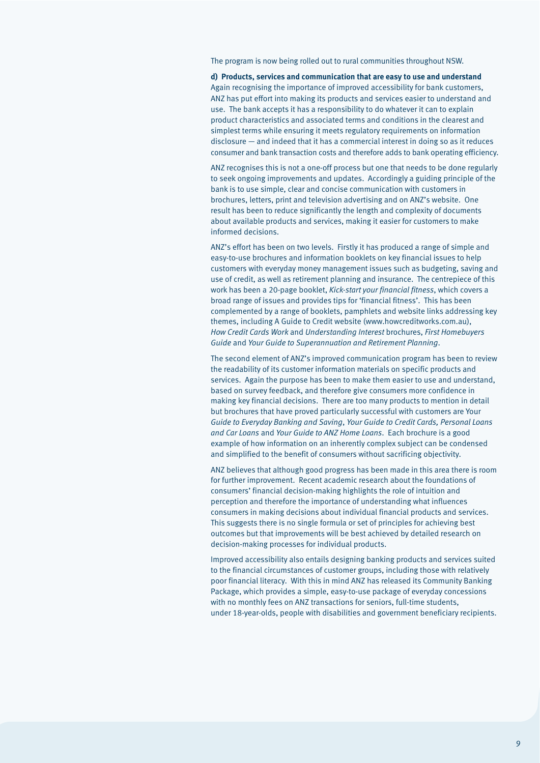The program is now being rolled out to rural communities throughout NSW.

**d) Products, services and communication that are easy to use and understand**  Again recognising the importance of improved accessibility for bank customers, ANZ has put effort into making its products and services easier to understand and use. The bank accepts it has a responsibility to do whatever it can to explain product characteristics and associated terms and conditions in the clearest and simplest terms while ensuring it meets regulatory requirements on information disclosure — and indeed that it has a commercial interest in doing so as it reduces consumer and bank transaction costs and therefore adds to bank operating efficiency.

ANZ recognises this is not a one-off process but one that needs to be done regularly to seek ongoing improvements and updates. Accordingly a guiding principle of the bank is to use simple, clear and concise communication with customers in brochures, letters, print and television advertising and on ANZ's website. One result has been to reduce significantly the length and complexity of documents about available products and services, making it easier for customers to make informed decisions.

ANZ's effort has been on two levels. Firstly it has produced a range of simple and easy-to-use brochures and information booklets on key financial issues to help customers with everyday money management issues such as budgeting, saving and use of credit, as well as retirement planning and insurance. The centrepiece of this work has been a 20-page booklet, *Kick-start your financial fitness*, which covers a broad range of issues and provides tips for 'financial fitness'. This has been complemented by a range of booklets, pamphlets and website links addressing key themes, including A Guide to Credit website (www.howcreditworks.com.au), *How Credit Cards Work* and *Understanding Interest* brochures, *First Homebuyers Guide* and *Your Guide to Superannuation and Retirement Planning*.

The second element of ANZ's improved communication program has been to review the readability of its customer information materials on specific products and services. Again the purpose has been to make them easier to use and understand, based on survey feedback, and therefore give consumers more confidence in making key financial decisions. There are too many products to mention in detail but brochures that have proved particularly successful with customers are Your *Guide to Everyday Banking and Saving*, *Your Guide to Credit Cards, Personal Loans and Car Loans* and *Your Guide to ANZ Home Loans*. Each brochure is a good example of how information on an inherently complex subject can be condensed and simplified to the benefit of consumers without sacrificing objectivity.

ANZ believes that although good progress has been made in this area there is room for further improvement. Recent academic research about the foundations of consumers' financial decision-making highlights the role of intuition and perception and therefore the importance of understanding what influences consumers in making decisions about individual financial products and services. This suggests there is no single formula or set of principles for achieving best outcomes but that improvements will be best achieved by detailed research on decision-making processes for individual products.

Improved accessibility also entails designing banking products and services suited to the financial circumstances of customer groups, including those with relatively poor financial literacy. With this in mind ANZ has released its Community Banking Package, which provides a simple, easy-to-use package of everyday concessions with no monthly fees on ANZ transactions for seniors, full-time students, under 18-year-olds, people with disabilities and government beneficiary recipients.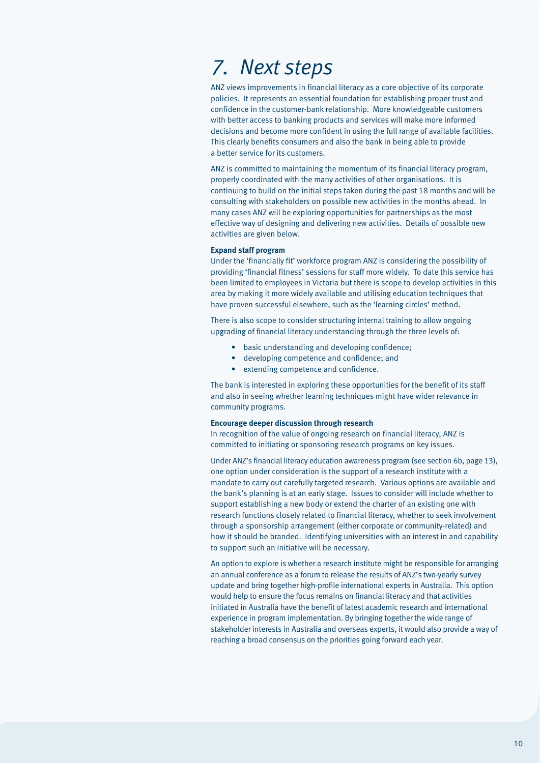### *7. Next steps*

ANZ views improvements in financial literacy as a core objective of its corporate policies. It represents an essential foundation for establishing proper trust and confidence in the customer-bank relationship. More knowledgeable customers with better access to banking products and services will make more informed decisions and become more confident in using the full range of available facilities. This clearly benefits consumers and also the bank in being able to provide a better service for its customers.

ANZ is committed to maintaining the momentum of its financial literacy program, properly coordinated with the many activities of other organisations. It is continuing to build on the initial steps taken during the past 18 months and will be consulting with stakeholders on possible new activities in the months ahead. In many cases ANZ will be exploring opportunities for partnerships as the most effective way of designing and delivering new activities. Details of possible new activities are given below.

#### **Expand staff program**

Under the 'financially fit' workforce program ANZ is considering the possibility of providing 'financial fitness' sessions for staff more widely. To date this service has been limited to employees in Victoria but there is scope to develop activities in this area by making it more widely available and utilising education techniques that have proven successful elsewhere, such as the 'learning circles' method.

There is also scope to consider structuring internal training to allow ongoing upgrading of financial literacy understanding through the three levels of:

- basic understanding and developing confidence;
- developing competence and confidence; and
- extending competence and confidence.

The bank is interested in exploring these opportunities for the benefit of its staff and also in seeing whether learning techniques might have wider relevance in community programs.

#### **Encourage deeper discussion through research**

In recognition of the value of ongoing research on financial literacy, ANZ is committed to initiating or sponsoring research programs on key issues.

Under ANZ's financial literacy education awareness program (see section 6b, page 13), one option under consideration is the support of a research institute with a mandate to carry out carefully targeted research. Various options are available and the bank's planning is at an early stage. Issues to consider will include whether to support establishing a new body or extend the charter of an existing one with research functions closely related to financial literacy, whether to seek involvement through a sponsorship arrangement (either corporate or community-related) and how it should be branded. Identifying universities with an interest in and capability to support such an initiative will be necessary.

An option to explore is whether a research institute might be responsible for arranging an annual conference as a forum to release the results of ANZ's two-yearly survey update and bring together high-profile international experts in Australia. This option would help to ensure the focus remains on financial literacy and that activities initiated in Australia have the benefit of latest academic research and international experience in program implementation. By bringing together the wide range of stakeholder interests in Australia and overseas experts, it would also provide a way of reaching a broad consensus on the priorities going forward each year.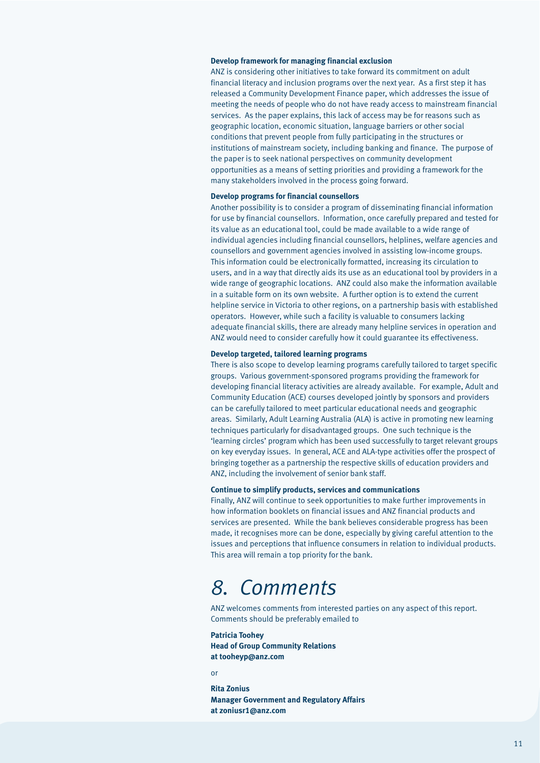#### **Develop framework for managing financial exclusion**

ANZ is considering other initiatives to take forward its commitment on adult financial literacy and inclusion programs over the next year. As a first step it has released a Community Development Finance paper, which addresses the issue of meeting the needs of people who do not have ready access to mainstream financial services. As the paper explains, this lack of access may be for reasons such as geographic location, economic situation, language barriers or other social conditions that prevent people from fully participating in the structures or institutions of mainstream society, including banking and finance. The purpose of the paper is to seek national perspectives on community development opportunities as a means of setting priorities and providing a framework for the many stakeholders involved in the process going forward.

#### **Develop programs for financial counsellors**

Another possibility is to consider a program of disseminating financial information for use by financial counsellors. Information, once carefully prepared and tested for its value as an educational tool, could be made available to a wide range of individual agencies including financial counsellors, helplines, welfare agencies and counsellors and government agencies involved in assisting low-income groups. This information could be electronically formatted, increasing its circulation to users, and in a way that directly aids its use as an educational tool by providers in a wide range of geographic locations. ANZ could also make the information available in a suitable form on its own website. A further option is to extend the current helpline service in Victoria to other regions, on a partnership basis with established operators. However, while such a facility is valuable to consumers lacking adequate financial skills, there are already many helpline services in operation and ANZ would need to consider carefully how it could guarantee its effectiveness.

#### **Develop targeted, tailored learning programs**

There is also scope to develop learning programs carefully tailored to target specific groups. Various government-sponsored programs providing the framework for developing financial literacy activities are already available. For example, Adult and Community Education (ACE) courses developed jointly by sponsors and providers can be carefully tailored to meet particular educational needs and geographic areas. Similarly, Adult Learning Australia (ALA) is active in promoting new learning techniques particularly for disadvantaged groups. One such technique is the 'learning circles' program which has been used successfully to target relevant groups on key everyday issues. In general, ACE and ALA-type activities offer the prospect of bringing together as a partnership the respective skills of education providers and ANZ, including the involvement of senior bank staff.

#### **Continue to simplify products, services and communications**

Finally, ANZ will continue to seek opportunities to make further improvements in how information booklets on financial issues and ANZ financial products and services are presented. While the bank believes considerable progress has been made, it recognises more can be done, especially by giving careful attention to the issues and perceptions that influence consumers in relation to individual products. This area will remain a top priority for the bank.

### *8. Comments*

ANZ welcomes comments from interested parties on any aspect of this report. Comments should be preferably emailed to

**Patricia Toohey Head of Group Community Relations at tooheyp@anz.com**

or

**Rita Zonius Manager Government and Regulatory Affairs at zoniusr1@anz.com**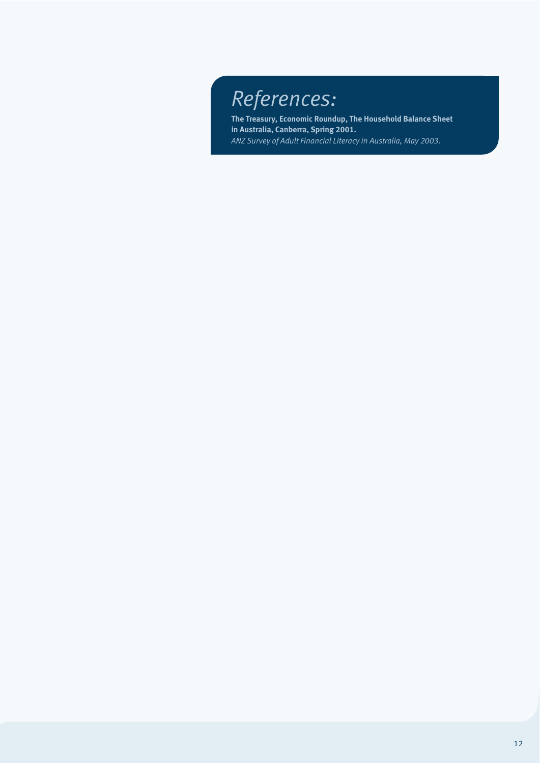# *References:*

**The Treasury, Economic Roundup, The Household Balance Sheet in Australia, Canberra, Spring 2001.** *ANZ Survey of Adult Financial Literacy in Australia, May 2003.*